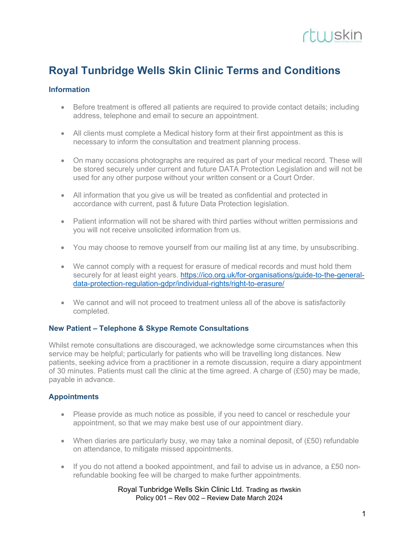

# Royal Tunbridge Wells Skin Clinic Terms and Conditions

### Information

- Before treatment is offered all patients are required to provide contact details; including address, telephone and email to secure an appointment.
- All clients must complete a Medical history form at their first appointment as this is necessary to inform the consultation and treatment planning process.
- On many occasions photographs are required as part of your medical record. These will be stored securely under current and future DATA Protection Legislation and will not be used for any other purpose without your written consent or a Court Order.
- All information that you give us will be treated as confidential and protected in accordance with current, past & future Data Protection legislation.
- Patient information will not be shared with third parties without written permissions and you will not receive unsolicited information from us.
- You may choose to remove yourself from our mailing list at any time, by unsubscribing.
- We cannot comply with a request for erasure of medical records and must hold them securely for at least eight years. https://ico.org.uk/for-organisations/guide-to-the-generaldata-protection-regulation-gdpr/individual-rights/right-to-erasure/
- We cannot and will not proceed to treatment unless all of the above is satisfactorily completed.

#### New Patient – Telephone & Skype Remote Consultations

Whilst remote consultations are discouraged, we acknowledge some circumstances when this service may be helpful; particularly for patients who will be travelling long distances. New patients, seeking advice from a practitioner in a remote discussion, require a diary appointment of 30 minutes. Patients must call the clinic at the time agreed. A charge of  $(E50)$  may be made, payable in advance.

# **Appointments**

- Please provide as much notice as possible, if you need to cancel or reschedule your appointment, so that we may make best use of our appointment diary.
- When diaries are particularly busy, we may take a nominal deposit, of (£50) refundable on attendance, to mitigate missed appointments.
- $\bullet$  If you do not attend a booked appointment, and fail to advise us in advance, a £50 nonrefundable booking fee will be charged to make further appointments.

#### Royal Tunbridge Wells Skin Clinic Ltd. Trading as rtwskin Policy 001 – Rev 002 – Review Date March 2024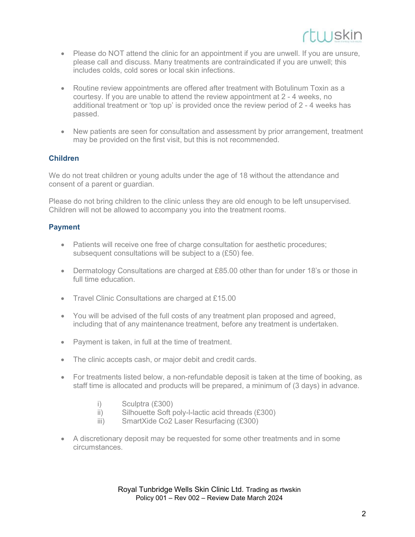

- Please do NOT attend the clinic for an appointment if you are unwell. If you are unsure, please call and discuss. Many treatments are contraindicated if you are unwell; this includes colds, cold sores or local skin infections.
- Routine review appointments are offered after treatment with Botulinum Toxin as a courtesy. If you are unable to attend the review appointment at 2 - 4 weeks, no additional treatment or 'top up' is provided once the review period of 2 - 4 weeks has passed.
- New patients are seen for consultation and assessment by prior arrangement, treatment may be provided on the first visit, but this is not recommended.

# Children

We do not treat children or young adults under the age of 18 without the attendance and consent of a parent or guardian.

Please do not bring children to the clinic unless they are old enough to be left unsupervised. Children will not be allowed to accompany you into the treatment rooms.

#### Payment

- Patients will receive one free of charge consultation for aesthetic procedures; subsequent consultations will be subject to a (£50) fee.
- Dermatology Consultations are charged at £85.00 other than for under 18's or those in full time education.
- Travel Clinic Consultations are charged at £15.00
- You will be advised of the full costs of any treatment plan proposed and agreed, including that of any maintenance treatment, before any treatment is undertaken.
- Payment is taken, in full at the time of treatment.
- The clinic accepts cash, or major debit and credit cards.
- For treatments listed below, a non-refundable deposit is taken at the time of booking, as staff time is allocated and products will be prepared, a minimum of (3 days) in advance.
	- i) Sculptra (£300)
	- ii) Silhouette Soft poly-l-lactic acid threads (£300)
	- iii) SmartXide Co2 Laser Resurfacing (£300)
- A discretionary deposit may be requested for some other treatments and in some circumstances.

Royal Tunbridge Wells Skin Clinic Ltd. Trading as rtwskin Policy 001 – Rev 002 – Review Date March 2024